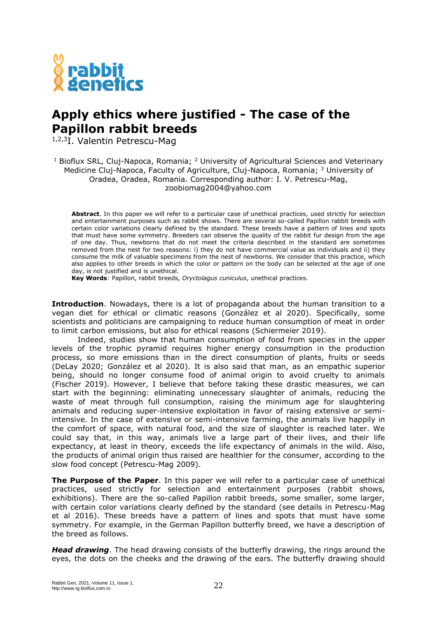

## **Apply ethics where justified - The case of the Papillon rabbit breeds**

<sup>1,2,3</sup>I. Valentin Petrescu-Mag

<sup>1</sup> Bioflux SRL, Cluj-Napoca, Romania; <sup>2</sup> University of Agricultural Sciences and Veterinary Medicine Cluj-Napoca, Faculty of Agriculture, Cluj-Napoca, Romania; <sup>3</sup> University of Oradea, Oradea, Romania. Corresponding author: I. V. Petrescu-Mag, zoobiomag2004@yahoo.com

**Abstract**. In this paper we will refer to a particular case of unethical practices, used strictly for selection and entertainment purposes such as rabbit shows. There are several so-called Papillon rabbit breeds with certain color variations clearly defined by the standard. These breeds have a pattern of lines and spots that must have some symmetry. Breeders can observe the quality of the rabbit fur design from the age of one day. Thus, newborns that do not meet the criteria described in the standard are sometimes removed from the nest for two reasons: i) they do not have commercial value as individuals and ii) they consume the milk of valuable specimens from the nest of newborns. We consider that this practice, which also applies to other breeds in which the color or pattern on the body can be selected at the age of one day, is not justified and is unethical.

**Key Words**: Papillon, rabbit breeds, *Oryctolagus cuniculus*, unethical practices.

**Introduction**. Nowadays, there is a lot of propaganda about the human transition to a vegan diet for ethical or climatic reasons (González et al 2020). Specifically, some scientists and politicians are campaigning to reduce human consumption of meat in order to limit carbon emissions, but also for ethical reasons (Schiermeier 2019).

Indeed, studies show that human consumption of food from species in the upper levels of the trophic pyramid requires higher energy consumption in the production process, so more emissions than in the direct consumption of plants, fruits or seeds (DeLay 2020; González et al 2020). It is also said that man, as an empathic superior being, should no longer consume food of animal origin to avoid cruelty to animals (Fischer 2019). However, I believe that before taking these drastic measures, we can start with the beginning: eliminating unnecessary slaughter of animals, reducing the waste of meat through full consumption, raising the minimum age for slaughtering animals and reducing super-intensive exploitation in favor of raising extensive or semiintensive. In the case of extensive or semi-intensive farming, the animals live happily in the comfort of space, with natural food, and the size of slaughter is reached later. We could say that, in this way, animals live a large part of their lives, and their life expectancy, at least in theory, exceeds the life expectancy of animals in the wild. Also, the products of animal origin thus raised are healthier for the consumer, according to the slow food concept (Petrescu-Mag 2009).

**The Purpose of the Paper**. In this paper we will refer to a particular case of unethical practices, used strictly for selection and entertainment purposes (rabbit shows, exhibitions). There are the so-called Papillon rabbit breeds, some smaller, some larger, with certain color variations clearly defined by the standard (see details in Petrescu-Mag et al 2016). These breeds have a pattern of lines and spots that must have some symmetry. For example, in the German Papillon butterfly breed, we have a description of the breed as follows.

*Head drawing*. The head drawing consists of the butterfly drawing, the rings around the eyes, the dots on the cheeks and the drawing of the ears. The butterfly drawing should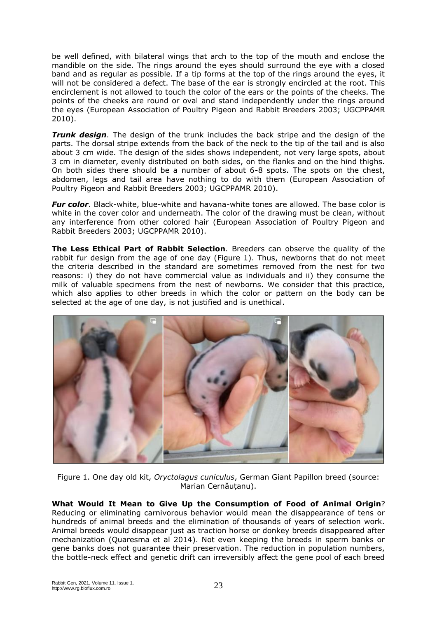be well defined, with bilateral wings that arch to the top of the mouth and enclose the mandible on the side. The rings around the eyes should surround the eye with a closed band and as regular as possible. If a tip forms at the top of the rings around the eyes, it will not be considered a defect. The base of the ear is strongly encircled at the root. This encirclement is not allowed to touch the color of the ears or the points of the cheeks. The points of the cheeks are round or oval and stand independently under the rings around the eyes (European Association of Poultry Pigeon and Rabbit Breeders 2003; UGCPPAMR 2010).

*Trunk design*. The design of the trunk includes the back stripe and the design of the parts. The dorsal stripe extends from the back of the neck to the tip of the tail and is also about 3 cm wide. The design of the sides shows independent, not very large spots, about 3 cm in diameter, evenly distributed on both sides, on the flanks and on the hind thighs. On both sides there should be a number of about 6-8 spots. The spots on the chest, abdomen, legs and tail area have nothing to do with them (European Association of Poultry Pigeon and Rabbit Breeders 2003; UGCPPAMR 2010).

*Fur color*. Black-white, blue-white and havana-white tones are allowed. The base color is white in the cover color and underneath. The color of the drawing must be clean, without any interference from other colored hair (European Association of Poultry Pigeon and Rabbit Breeders 2003; UGCPPAMR 2010).

**The Less Ethical Part of Rabbit Selection**. Breeders can observe the quality of the rabbit fur design from the age of one day (Figure 1). Thus, newborns that do not meet the criteria described in the standard are sometimes removed from the nest for two reasons: i) they do not have commercial value as individuals and ii) they consume the milk of valuable specimens from the nest of newborns. We consider that this practice, which also applies to other breeds in which the color or pattern on the body can be selected at the age of one day, is not justified and is unethical.



Figure 1. One day old kit, *Oryctolagus cuniculus*, German Giant Papillon breed (source: Marian Cernăuțanu).

**What Would It Mean to Give Up the Consumption of Food of Animal Origin**? Reducing or eliminating carnivorous behavior would mean the disappearance of tens or hundreds of animal breeds and the elimination of thousands of years of selection work. Animal breeds would disappear just as traction horse or donkey breeds disappeared after mechanization (Quaresma et al 2014). Not even keeping the breeds in sperm banks or gene banks does not guarantee their preservation. The reduction in population numbers, the bottle-neck effect and genetic drift can irreversibly affect the gene pool of each breed